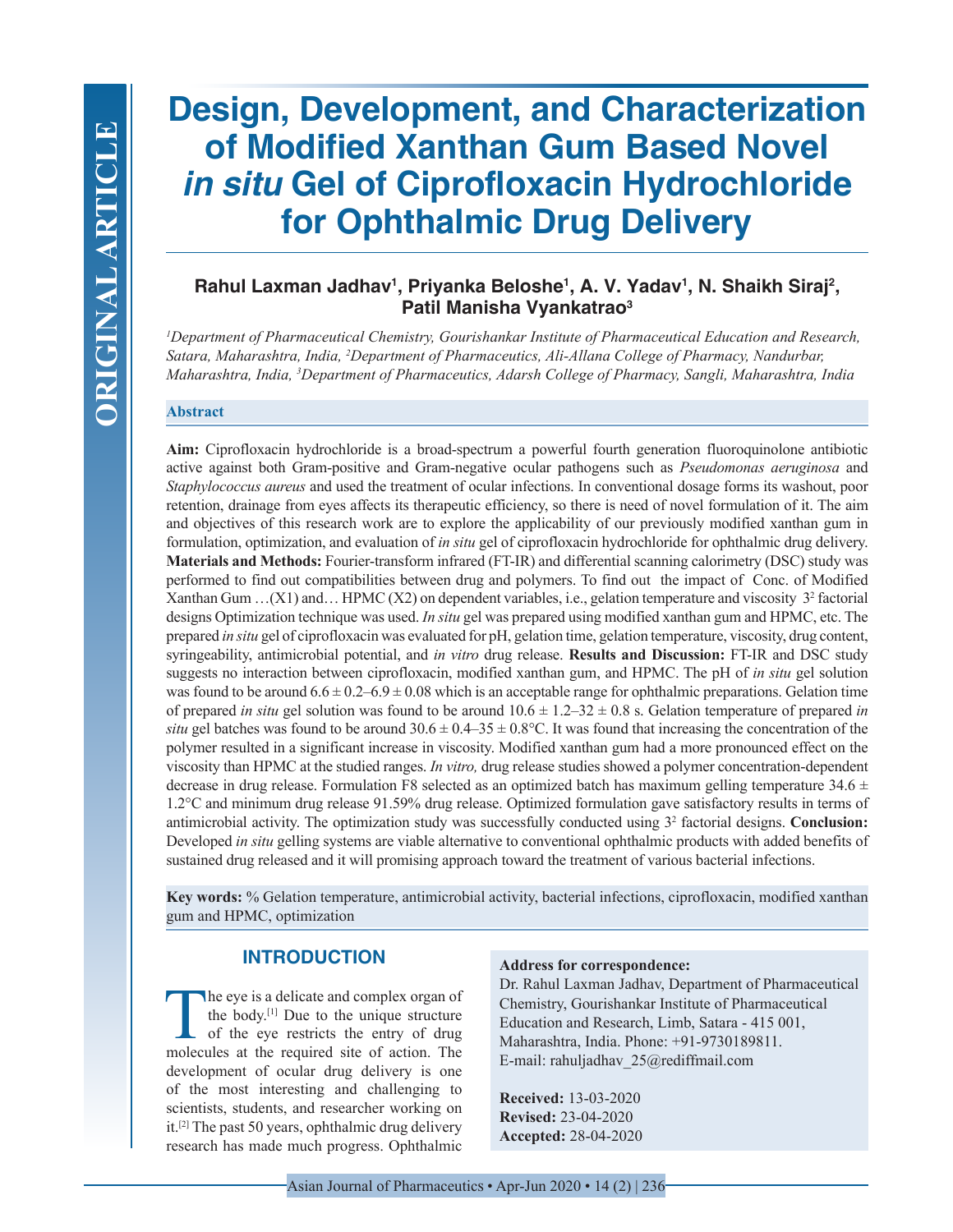# **Design, Development, and Characterization of Modified Xanthan Gum Based Novel**  *in situ* **Gel of Ciprofloxacin Hydrochloride for Ophthalmic Drug Delivery**

# Rahul Laxman Jadhav<sup>1</sup>, Priyanka Beloshe<sup>1</sup>, A. V. Yadav<sup>1</sup>, N. Shaikh Siraj<sup>2</sup>, **Patil Manisha Vyankatrao3**

*1 Department of Pharmaceutical Chemistry, Gourishankar Institute of Pharmaceutical Education and Research, Satara, Maharashtra, India, 2 Department of Pharmaceutics, Ali-Allana College of Pharmacy, Nandurbar, Maharashtra, India, 3 Department of Pharmaceutics, Adarsh College of Pharmacy, Sangli, Maharashtra, India*

## **Abstract**

**Aim:** Ciprofloxacin hydrochloride is a broad-spectrum a powerful fourth generation fluoroquinolone antibiotic active against both Gram-positive and Gram-negative ocular pathogens such as *Pseudomonas aeruginosa* and *Staphylococcus aureus* and used the treatment of ocular infections. In conventional dosage forms its washout, poor retention, drainage from eyes affects its therapeutic efficiency, so there is need of novel formulation of it. The aim and objectives of this research work are to explore the applicability of our previously modified xanthan gum in formulation, optimization, and evaluation of *in situ* gel of ciprofloxacin hydrochloride for ophthalmic drug delivery. **Materials and Methods:** Fourier-transform infrared (FT-IR) and differential scanning calorimetry (DSC) study was performed to find out compatibilities between drug and polymers. To find out the impact of Conc. of Modified Xanthan Gum ...  $(X1)$  and ... HPMC  $(X2)$  on dependent variables, i.e., gelation temperature and viscosity  $3<sup>2</sup>$  factorial designs Optimization technique was used. *In situ* gel was prepared using modified xanthan gum and HPMC, etc. The prepared *in situ* gel of ciprofloxacin was evaluated for pH, gelation time, gelation temperature, viscosity, drug content, syringeability, antimicrobial potential, and *in vitro* drug release. **Results and Discussion:** FT-IR and DSC study suggests no interaction between ciprofloxacin, modified xanthan gum, and HPMC. The pH of *in situ* gel solution was found to be around  $6.6 \pm 0.2 - 6.9 \pm 0.08$  which is an acceptable range for ophthalmic preparations. Gelation time of prepared *in situ* gel solution was found to be around  $10.6 \pm 1.2 - 32 \pm 0.8$  s. Gelation temperature of prepared *in situ* gel batches was found to be around  $30.6 \pm 0.4-35 \pm 0.8$ °C. It was found that increasing the concentration of the polymer resulted in a significant increase in viscosity. Modified xanthan gum had a more pronounced effect on the viscosity than HPMC at the studied ranges. *In vitro,* drug release studies showed a polymer concentration-dependent decrease in drug release. Formulation F8 selected as an optimized batch has maximum gelling temperature  $34.6 \pm$ 1.2°C and minimum drug release 91.59% drug release. Optimized formulation gave satisfactory results in terms of antimicrobial activity. The optimization study was successfully conducted using 32 factorial designs. **Conclusion:**  Developed *in situ* gelling systems are viable alternative to conventional ophthalmic products with added benefits of sustained drug released and it will promising approach toward the treatment of various bacterial infections.

**Key words:** % Gelation temperature, antimicrobial activity, bacterial infections, ciprofloxacin, modified xanthan gum and HPMC, optimization

## **INTRODUCTION**

The eye is a delicate and complex organ of the body.[1] Due to the unique structure of the eye restricts the entry of drug molecules at the required site of action. The development of ocular drug delivery is one of the most interesting and challenging to scientists, students, and researcher working on it.[2] The past 50 years, ophthalmic drug delivery research has made much progress. Ophthalmic

#### **Address for correspondence:**

Dr. Rahul Laxman Jadhav, Department of Pharmaceutical Chemistry, Gourishankar Institute of Pharmaceutical Education and Research, Limb, Satara - 415 001, Maharashtra, India. Phone: +91-9730189811. E-mail: rahuljadhav\_25@rediffmail.com

**Received:** 13-03-2020 **Revised:** 23-04-2020 **Accepted:** 28-04-2020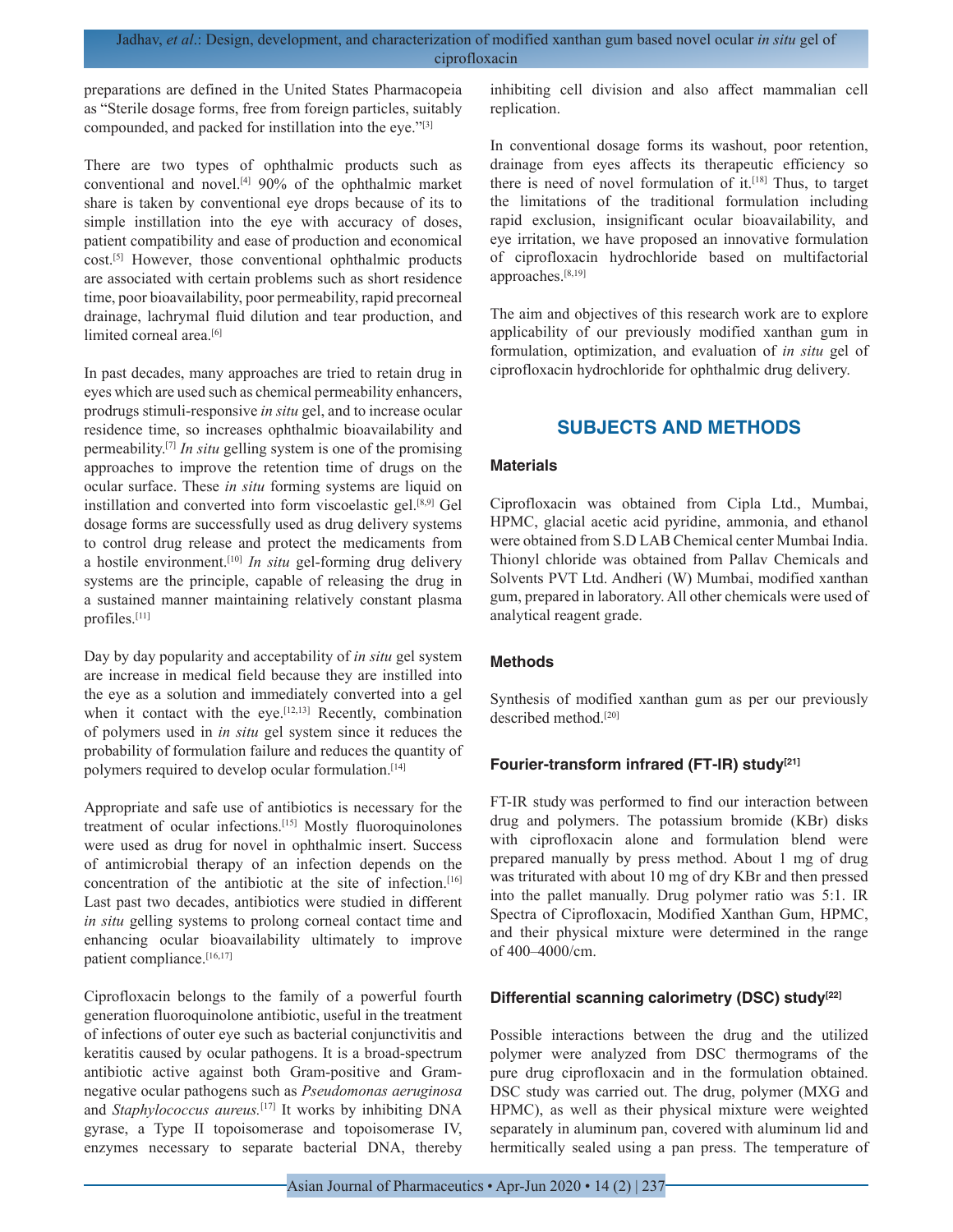preparations are defined in the United States Pharmacopeia as "Sterile dosage forms, free from foreign particles, suitably compounded, and packed for instillation into the eye."[3]

There are two types of ophthalmic products such as conventional and novel.[4] 90% of the ophthalmic market share is taken by conventional eye drops because of its to simple instillation into the eye with accuracy of doses, patient compatibility and ease of production and economical cost.[5] However, those conventional ophthalmic products are associated with certain problems such as short residence time, poor bioavailability, poor permeability, rapid precorneal drainage, lachrymal fluid dilution and tear production, and limited corneal area.<sup>[6]</sup>

In past decades, many approaches are tried to retain drug in eyes which are used such as chemical permeability enhancers, prodrugs stimuli-responsive *in situ* gel, and to increase ocular residence time, so increases ophthalmic bioavailability and permeability.[7] *In situ* gelling system is one of the promising approaches to improve the retention time of drugs on the ocular surface. These *in situ* forming systems are liquid on instillation and converted into form viscoelastic gel.[8,9] Gel dosage forms are successfully used as drug delivery systems to control drug release and protect the medicaments from a hostile environment.[10] *In situ* gel-forming drug delivery systems are the principle, capable of releasing the drug in a sustained manner maintaining relatively constant plasma profiles.[11]

Day by day popularity and acceptability of *in situ* gel system are increase in medical field because they are instilled into the eye as a solution and immediately converted into a gel when it contact with the eye.<sup>[12,13]</sup> Recently, combination of polymers used in *in situ* gel system since it reduces the probability of formulation failure and reduces the quantity of polymers required to develop ocular formulation.<sup>[14]</sup>

Appropriate and safe use of antibiotics is necessary for the treatment of ocular infections.[15] Mostly fluoroquinolones were used as drug for novel in ophthalmic insert. Success of antimicrobial therapy of an infection depends on the concentration of the antibiotic at the site of infection.[16] Last past two decades, antibiotics were studied in different *in situ* gelling systems to prolong corneal contact time and enhancing ocular bioavailability ultimately to improve patient compliance.<sup>[16,17]</sup>

Ciprofloxacin belongs to the family of a powerful fourth generation fluoroquinolone antibiotic, useful in the treatment of infections of outer eye such as bacterial conjunctivitis and keratitis caused by ocular pathogens. It is a broad-spectrum antibiotic active against both Gram-positive and Gramnegative ocular pathogens such as *Pseudomonas aeruginosa*  and *Staphylococcus aureus*.<sup>[17]</sup> It works by inhibiting DNA gyrase, a Type II topoisomerase and topoisomerase IV, enzymes necessary to separate bacterial DNA, thereby

inhibiting cell division and also affect mammalian cell replication.

In conventional dosage forms its washout, poor retention, drainage from eyes affects its therapeutic efficiency so there is need of novel formulation of  $it$ <sub>[18]</sub> Thus, to target the limitations of the traditional formulation including rapid exclusion, insignificant ocular bioavailability, and eye irritation, we have proposed an innovative formulation of ciprofloxacin hydrochloride based on multifactorial approaches.[8,19]

The aim and objectives of this research work are to explore applicability of our previously modified xanthan gum in formulation, optimization, and evaluation of *in situ* gel of ciprofloxacin hydrochloride for ophthalmic drug delivery.

# **SUBJECTS AND METHODS**

## **Materials**

Ciprofloxacin was obtained from Cipla Ltd., Mumbai, HPMC, glacial acetic acid pyridine, ammonia, and ethanol were obtained from S.D LAB Chemical center Mumbai India. Thionyl chloride was obtained from Pallav Chemicals and Solvents PVT Ltd. Andheri (W) Mumbai, modified xanthan gum, prepared in laboratory. All other chemicals were used of analytical reagent grade.

## **Methods**

Synthesis of modified xanthan gum as per our previously described method.<sup>[20]</sup>

## Fourier-transform infrared (FT-IR) study<sup>[21]</sup>

FT-IR study was performed to find our interaction between drug and polymers. The potassium bromide (KBr) disks with ciprofloxacin alone and formulation blend were prepared manually by press method. About 1 mg of drug was triturated with about 10 mg of dry KBr and then pressed into the pallet manually. Drug polymer ratio was 5:1. IR Spectra of Ciprofloxacin, Modified Xanthan Gum, HPMC, and their physical mixture were determined in the range of 400–4000/cm.

## **Differential scanning calorimetry (DSC) study[22]**

Possible interactions between the drug and the utilized polymer were analyzed from DSC thermograms of the pure drug ciprofloxacin and in the formulation obtained. DSC study was carried out. The drug, polymer (MXG and HPMC), as well as their physical mixture were weighted separately in aluminum pan, covered with aluminum lid and hermitically sealed using a pan press. The temperature of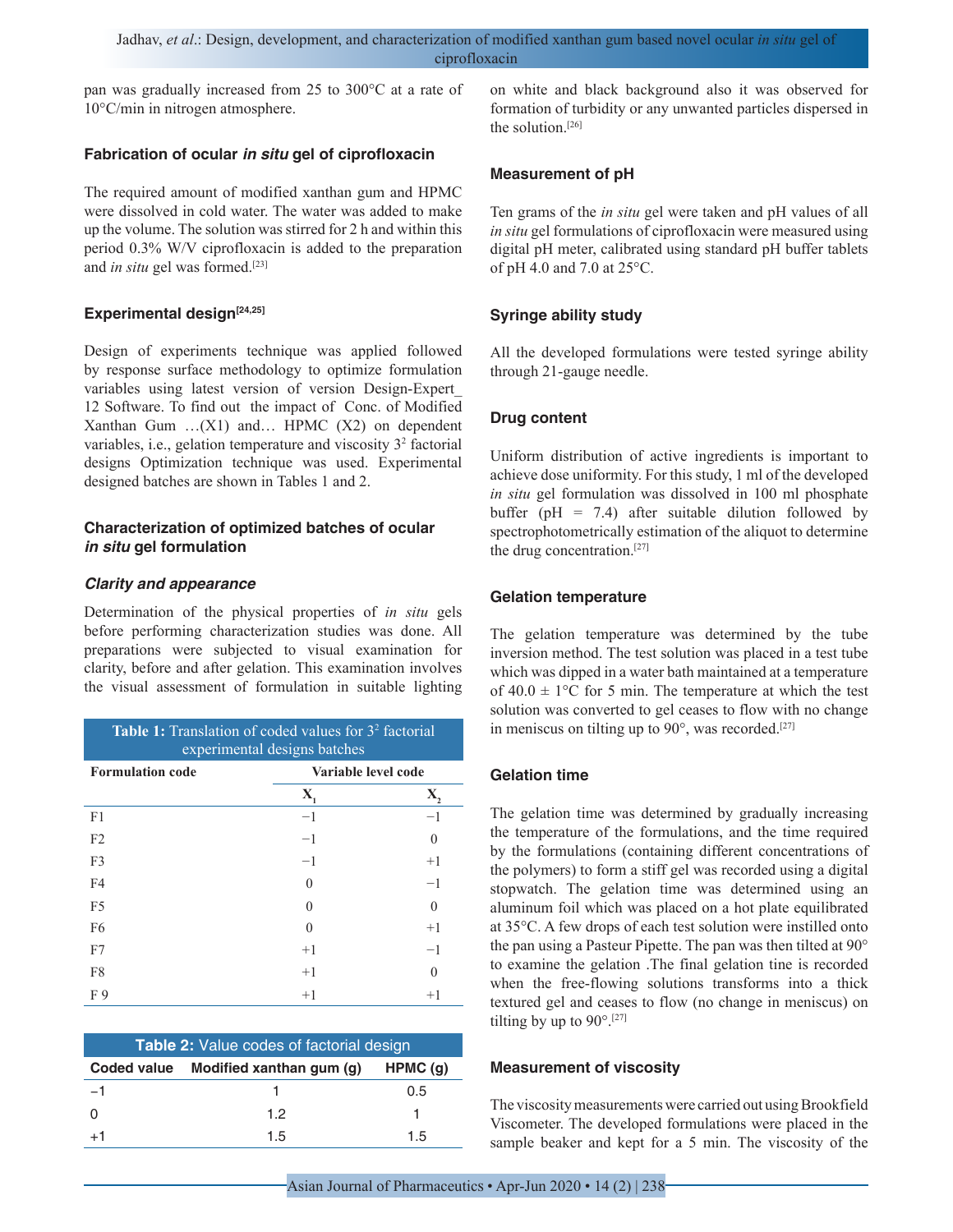pan was gradually increased from 25 to 300°C at a rate of 10°C/min in nitrogen atmosphere.

#### **Fabrication of ocular** *in situ* **gel of ciprofloxacin**

The required amount of modified xanthan gum and HPMC were dissolved in cold water. The water was added to make up the volume. The solution was stirred for 2 h and within this period 0.3% W/V ciprofloxacin is added to the preparation and *in situ* gel was formed.<sup>[23]</sup>

## Experimental design<sup>[24,25]</sup>

Design of experiments technique was applied followed by response surface methodology to optimize formulation variables using latest version of version Design-Expert\_ 12 Software. To find out the impact of Conc. of Modified Xanthan Gum …(X1) and… HPMC (X2) on dependent variables, i.e., gelation temperature and viscosity 3<sup>2</sup> factorial designs Optimization technique was used. Experimental designed batches are shown in Tables 1 and 2.

## **Characterization of optimized batches of ocular**  *in situ* **gel formulation**

## *Clarity and appearance*

Determination of the physical properties of *in situ* gels before performing characterization studies was done. All preparations were subjected to visual examination for clarity, before and after gelation. This examination involves the visual assessment of formulation in suitable lighting

| <b>Table 1:</b> Translation of coded values for 3 <sup>2</sup> factorial<br>experimental designs batches |                     |          |  |  |
|----------------------------------------------------------------------------------------------------------|---------------------|----------|--|--|
| <b>Formulation code</b>                                                                                  | Variable level code |          |  |  |
|                                                                                                          | Х,                  | X.       |  |  |
| F <sub>1</sub>                                                                                           | $-1$                | -1       |  |  |
| F <sub>2</sub>                                                                                           | $-1$                | $\Omega$ |  |  |
| F <sub>3</sub>                                                                                           | $-1$                | $+1$     |  |  |
| F4                                                                                                       | 0                   | $-1$     |  |  |
| F <sub>5</sub>                                                                                           | 0                   | $\Omega$ |  |  |
| F <sub>6</sub>                                                                                           | $\Omega$            | $+1$     |  |  |
| F7                                                                                                       | $+1$                | $-1$     |  |  |
| F8                                                                                                       | $+1$                | 0        |  |  |
| F9                                                                                                       | $+1$                | $+1$     |  |  |

| <b>Table 2:</b> Value codes of factorial design |    |     |  |  |
|-------------------------------------------------|----|-----|--|--|
| Coded value Modified xanthan gum (g)<br>HPMC(g) |    |     |  |  |
| $-1$                                            |    | 0.5 |  |  |
|                                                 | 12 |     |  |  |
| $+1$                                            | 15 | 15  |  |  |

on white and black background also it was observed for formation of turbidity or any unwanted particles dispersed in the solution.[26]

## **Measurement of pH**

Ten grams of the *in situ* gel were taken and pH values of all *in situ* gel formulations of ciprofloxacin were measured using digital pH meter, calibrated using standard pH buffer tablets of pH 4.0 and 7.0 at 25°C.

## **Syringe ability study**

All the developed formulations were tested syringe ability through 21-gauge needle.

## **Drug content**

Uniform distribution of active ingredients is important to achieve dose uniformity. For this study, 1 ml of the developed *in situ* gel formulation was dissolved in 100 ml phosphate buffer ( $pH = 7.4$ ) after suitable dilution followed by spectrophotometrically estimation of the aliquot to determine the drug concentration.[27]

## **Gelation temperature**

The gelation temperature was determined by the tube inversion method. The test solution was placed in a test tube which was dipped in a water bath maintained at a temperature of  $40.0 \pm 1$ °C for 5 min. The temperature at which the test solution was converted to gel ceases to flow with no change in meniscus on tilting up to 90°, was recorded.<sup>[27]</sup>

## **Gelation time**

The gelation time was determined by gradually increasing the temperature of the formulations, and the time required by the formulations (containing different concentrations of the polymers) to form a stiff gel was recorded using a digital stopwatch. The gelation time was determined using an aluminum foil which was placed on a hot plate equilibrated at 35°C. A few drops of each test solution were instilled onto the pan using a Pasteur Pipette. The pan was then tilted at 90° to examine the gelation .The final gelation tine is recorded when the free-flowing solutions transforms into a thick textured gel and ceases to flow (no change in meniscus) on tilting by up to  $90^{\circ}$ .[27]

#### **Measurement of viscosity**

The viscosity measurements were carried out using Brookfield Viscometer. The developed formulations were placed in the sample beaker and kept for a 5 min. The viscosity of the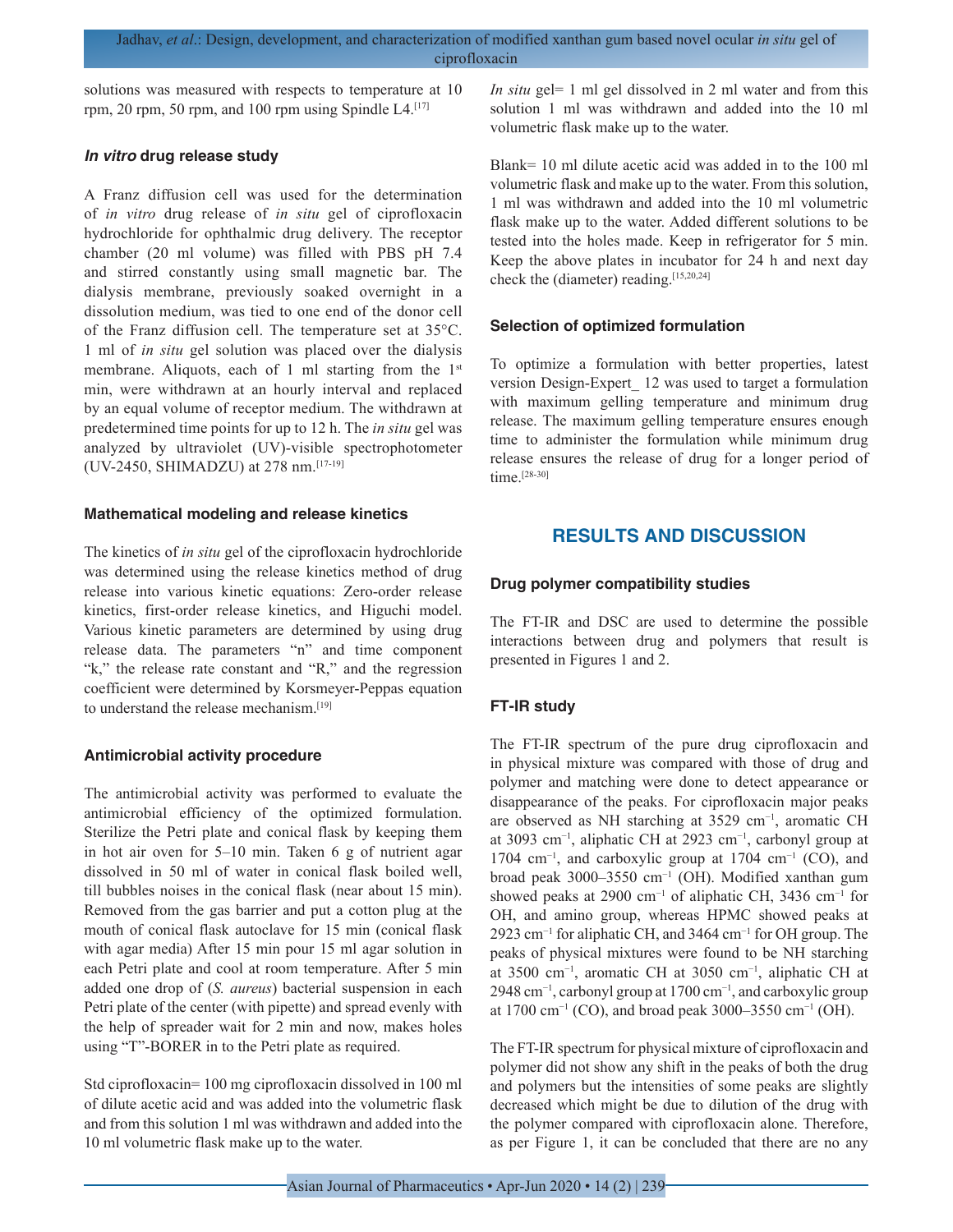solutions was measured with respects to temperature at 10 rpm, 20 rpm, 50 rpm, and 100 rpm using Spindle  $L4$ <sup>[17]</sup>

#### *In vitro* **drug release study**

A Franz diffusion cell was used for the determination of *in vitro* drug release of *in situ* gel of ciprofloxacin hydrochloride for ophthalmic drug delivery. The receptor chamber (20 ml volume) was filled with PBS pH 7.4 and stirred constantly using small magnetic bar. The dialysis membrane, previously soaked overnight in a dissolution medium, was tied to one end of the donor cell of the Franz diffusion cell. The temperature set at 35°C. 1 ml of *in situ* gel solution was placed over the dialysis membrane. Aliquots, each of 1 ml starting from the 1<sup>st</sup> min, were withdrawn at an hourly interval and replaced by an equal volume of receptor medium. The withdrawn at predetermined time points for up to 12 h. The *in situ* gel was analyzed by ultraviolet (UV)-visible spectrophotometer (UV-2450, SHIMADZU) at 278 nm.[17-19]

#### **Mathematical modeling and release kinetics**

The kinetics of *in situ* gel of the ciprofloxacin hydrochloride was determined using the release kinetics method of drug release into various kinetic equations: Zero-order release kinetics, first-order release kinetics, and Higuchi model. Various kinetic parameters are determined by using drug release data. The parameters "n" and time component "k," the release rate constant and "R," and the regression coefficient were determined by Korsmeyer-Peppas equation to understand the release mechanism.[19]

## **Antimicrobial activity procedure**

The antimicrobial activity was performed to evaluate the antimicrobial efficiency of the optimized formulation. Sterilize the Petri plate and conical flask by keeping them in hot air oven for 5–10 min. Taken 6 g of nutrient agar dissolved in 50 ml of water in conical flask boiled well, till bubbles noises in the conical flask (near about 15 min). Removed from the gas barrier and put a cotton plug at the mouth of conical flask autoclave for 15 min (conical flask with agar media) After 15 min pour 15 ml agar solution in each Petri plate and cool at room temperature. After 5 min added one drop of (*S. aureus*) bacterial suspension in each Petri plate of the center (with pipette) and spread evenly with the help of spreader wait for 2 min and now, makes holes using "T"-BORER in to the Petri plate as required.

Std ciprofloxacin= 100 mg ciprofloxacin dissolved in 100 ml of dilute acetic acid and was added into the volumetric flask and from this solution 1 ml was withdrawn and added into the 10 ml volumetric flask make up to the water.

*In situ* gel= 1 ml gel dissolved in 2 ml water and from this solution 1 ml was withdrawn and added into the 10 ml volumetric flask make up to the water.

Blank= 10 ml dilute acetic acid was added in to the 100 ml volumetric flask and make up to the water. From this solution, 1 ml was withdrawn and added into the 10 ml volumetric flask make up to the water. Added different solutions to be tested into the holes made. Keep in refrigerator for 5 min. Keep the above plates in incubator for 24 h and next day check the (diameter) reading.[15,20,24]

## **Selection of optimized formulation**

To optimize a formulation with better properties, latest version Design-Expert\_ 12 was used to target a formulation with maximum gelling temperature and minimum drug release. The maximum gelling temperature ensures enough time to administer the formulation while minimum drug release ensures the release of drug for a longer period of time.<sup>[28-30]</sup>

# **RESULTS AND DISCUSSION**

## **Drug polymer compatibility studies**

The FT-IR and DSC are used to determine the possible interactions between drug and polymers that result is presented in Figures 1 and 2.

# **FT-IR study**

The FT-IR spectrum of the pure drug ciprofloxacin and in physical mixture was compared with those of drug and polymer and matching were done to detect appearance or disappearance of the peaks. For ciprofloxacin major peaks are observed as NH starching at 3529 cm−1, aromatic CH at 3093 cm−1, aliphatic CH at 2923 cm−1, carbonyl group at 1704 cm<sup>-1</sup>, and carboxylic group at 1704 cm<sup>-1</sup> (CO), and broad peak 3000–3550 cm−1 (OH). Modified xanthan gum showed peaks at 2900 cm−1 of aliphatic CH, 3436 cm−1 for OH, and amino group, whereas HPMC showed peaks at 2923 cm<sup>-1</sup> for aliphatic CH, and 3464 cm<sup>-1</sup> for OH group. The peaks of physical mixtures were found to be NH starching at 3500 cm−1, aromatic CH at 3050 cm−1, aliphatic CH at 2948 cm<sup>-1</sup>, carbonyl group at 1700 cm<sup>-1</sup>, and carboxylic group at 1700 cm−1 (CO), and broad peak 3000–3550 cm−1 (OH).

The FT-IR spectrum for physical mixture of ciprofloxacin and polymer did not show any shift in the peaks of both the drug and polymers but the intensities of some peaks are slightly decreased which might be due to dilution of the drug with the polymer compared with ciprofloxacin alone. Therefore, as per Figure 1, it can be concluded that there are no any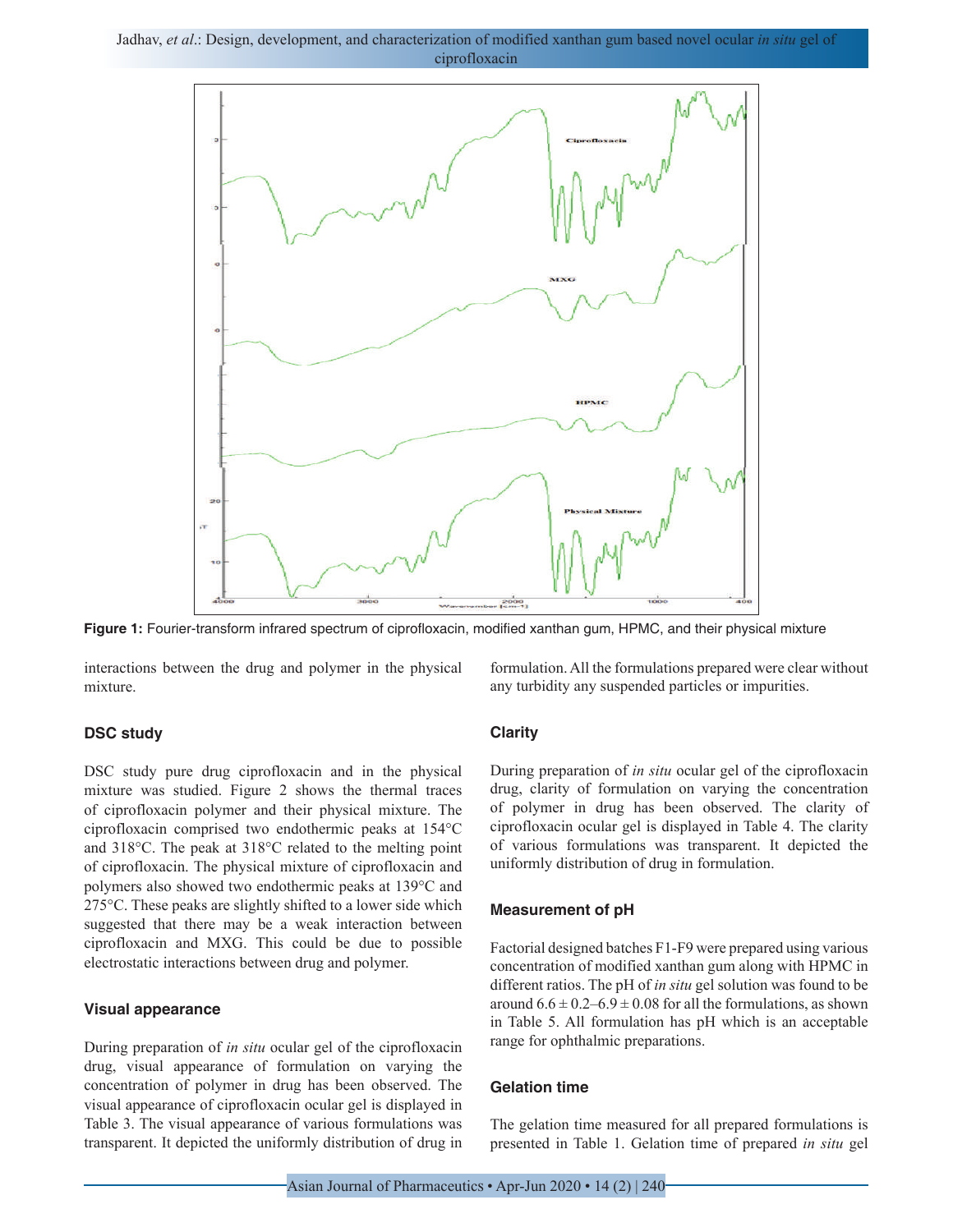Jadhav, *et al*.: Design, development, and characterization of modified xanthan gum based novel ocular *in situ* gel of ciprofloxacin



**Figure 1:** Fourier-transform infrared spectrum of ciprofloxacin, modified xanthan gum, HPMC, and their physical mixture

interactions between the drug and polymer in the physical mixture.

#### **DSC study**

DSC study pure drug ciprofloxacin and in the physical mixture was studied. Figure 2 shows the thermal traces of ciprofloxacin polymer and their physical mixture. The ciprofloxacin comprised two endothermic peaks at 154°C and 318°C. The peak at 318°C related to the melting point of ciprofloxacin. The physical mixture of ciprofloxacin and polymers also showed two endothermic peaks at 139°C and 275°C. These peaks are slightly shifted to a lower side which suggested that there may be a weak interaction between ciprofloxacin and MXG. This could be due to possible electrostatic interactions between drug and polymer.

#### **Visual appearance**

During preparation of *in situ* ocular gel of the ciprofloxacin drug, visual appearance of formulation on varying the concentration of polymer in drug has been observed. The visual appearance of ciprofloxacin ocular gel is displayed in Table 3. The visual appearance of various formulations was transparent. It depicted the uniformly distribution of drug in

formulation. All the formulations prepared were clear without any turbidity any suspended particles or impurities.

#### **Clarity**

During preparation of *in situ* ocular gel of the ciprofloxacin drug, clarity of formulation on varying the concentration of polymer in drug has been observed. The clarity of ciprofloxacin ocular gel is displayed in Table 4. The clarity of various formulations was transparent. It depicted the uniformly distribution of drug in formulation.

#### **Measurement of pH**

Factorial designed batches F1-F9 were prepared using various concentration of modified xanthan gum along with HPMC in different ratios. The pH of *in situ* gel solution was found to be around  $6.6 \pm 0.2 - 6.9 \pm 0.08$  for all the formulations, as shown in Table 5. All formulation has pH which is an acceptable range for ophthalmic preparations.

#### **Gelation time**

The gelation time measured for all prepared formulations is presented in Table 1. Gelation time of prepared *in situ* gel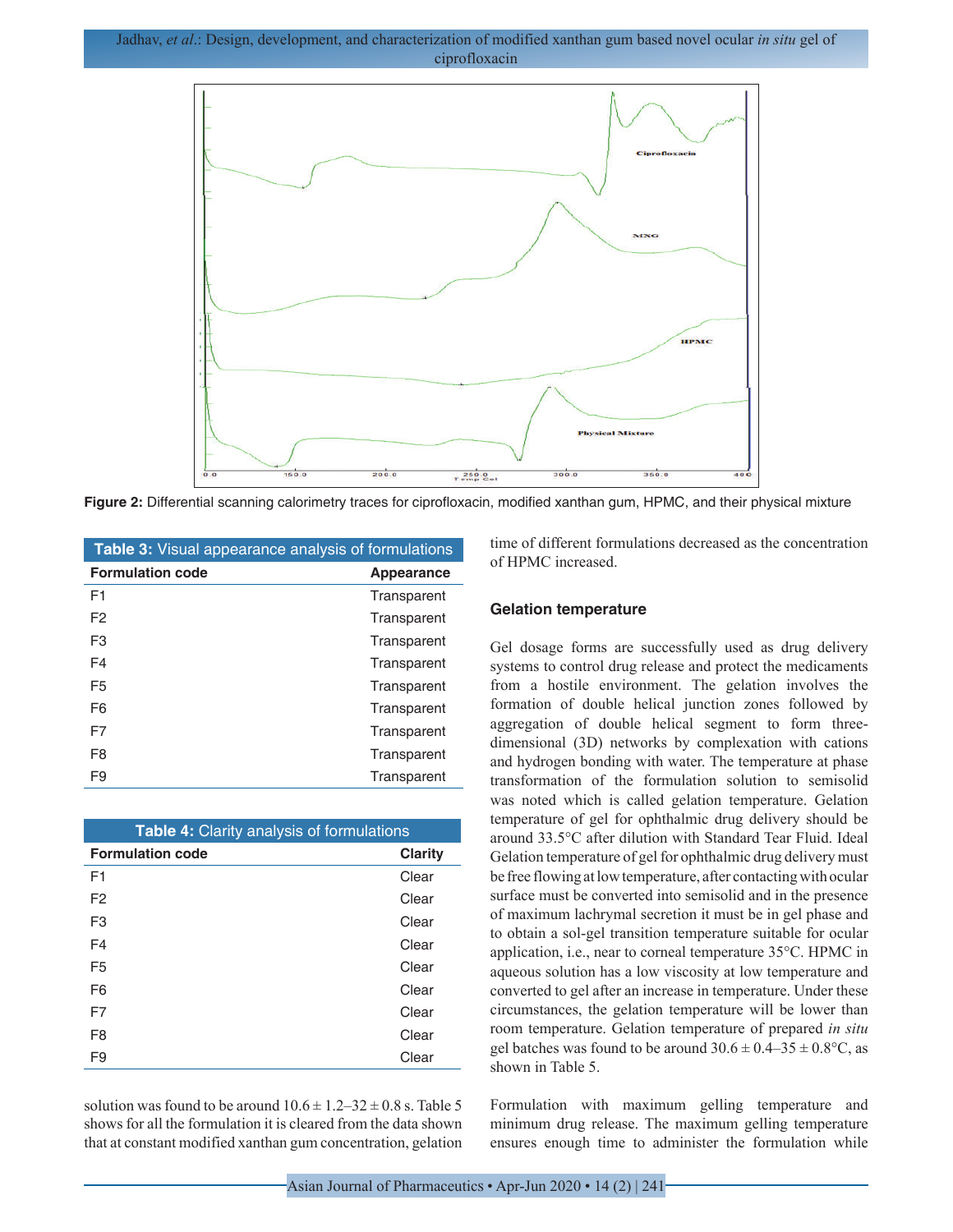

**Figure 2:** Differential scanning calorimetry traces for ciprofloxacin, modified xanthan gum, HPMC, and their physical mixture

| <b>Table 3:</b> Visual appearance analysis of formulations |             |  |  |  |
|------------------------------------------------------------|-------------|--|--|--|
| <b>Formulation code</b>                                    | Appearance  |  |  |  |
| F <sub>1</sub>                                             | Transparent |  |  |  |
| F <sub>2</sub>                                             | Transparent |  |  |  |
| F <sub>3</sub>                                             | Transparent |  |  |  |
| F4                                                         | Transparent |  |  |  |
| F5                                                         | Transparent |  |  |  |
| F6                                                         | Transparent |  |  |  |
| F7                                                         | Transparent |  |  |  |
| F <sub>8</sub>                                             | Transparent |  |  |  |
| F9                                                         | Transparent |  |  |  |

| Table 4: Clarity analysis of formulations |                |  |  |
|-------------------------------------------|----------------|--|--|
| <b>Formulation code</b>                   | <b>Clarity</b> |  |  |
| F1                                        | Clear          |  |  |
| F <sub>2</sub>                            | Clear          |  |  |
| F <sub>3</sub>                            | Clear          |  |  |
| F <sub>4</sub>                            | Clear          |  |  |
| F <sub>5</sub>                            | Clear          |  |  |
| F <sub>6</sub>                            | Clear          |  |  |
| F7                                        | Clear          |  |  |
| F <sub>8</sub>                            | Clear          |  |  |
| F9                                        | Clear          |  |  |

solution was found to be around  $10.6 \pm 1.2 - 32 \pm 0.8$  s. Table 5 shows for all the formulation it is cleared from the data shown that at constant modified xanthan gum concentration, gelation time of different formulations decreased as the concentration of HPMC increased.

#### **Gelation temperature**

Gel dosage forms are successfully used as drug delivery systems to control drug release and protect the medicaments from a hostile environment. The gelation involves the formation of double helical junction zones followed by aggregation of double helical segment to form threedimensional (3D) networks by complexation with cations and hydrogen bonding with water. The temperature at phase transformation of the formulation solution to semisolid was noted which is called gelation temperature. Gelation temperature of gel for ophthalmic drug delivery should be around 33.5°C after dilution with Standard Tear Fluid. Ideal Gelation temperature of gel for ophthalmic drug delivery must be free flowing at low temperature, after contacting with ocular surface must be converted into semisolid and in the presence of maximum lachrymal secretion it must be in gel phase and to obtain a sol-gel transition temperature suitable for ocular application, i.e., near to corneal temperature 35°C. HPMC in aqueous solution has a low viscosity at low temperature and converted to gel after an increase in temperature. Under these circumstances, the gelation temperature will be lower than room temperature. Gelation temperature of prepared *in situ* gel batches was found to be around  $30.6 \pm 0.4 - 35 \pm 0.8$ °C, as shown in Table 5.

Formulation with maximum gelling temperature and minimum drug release. The maximum gelling temperature ensures enough time to administer the formulation while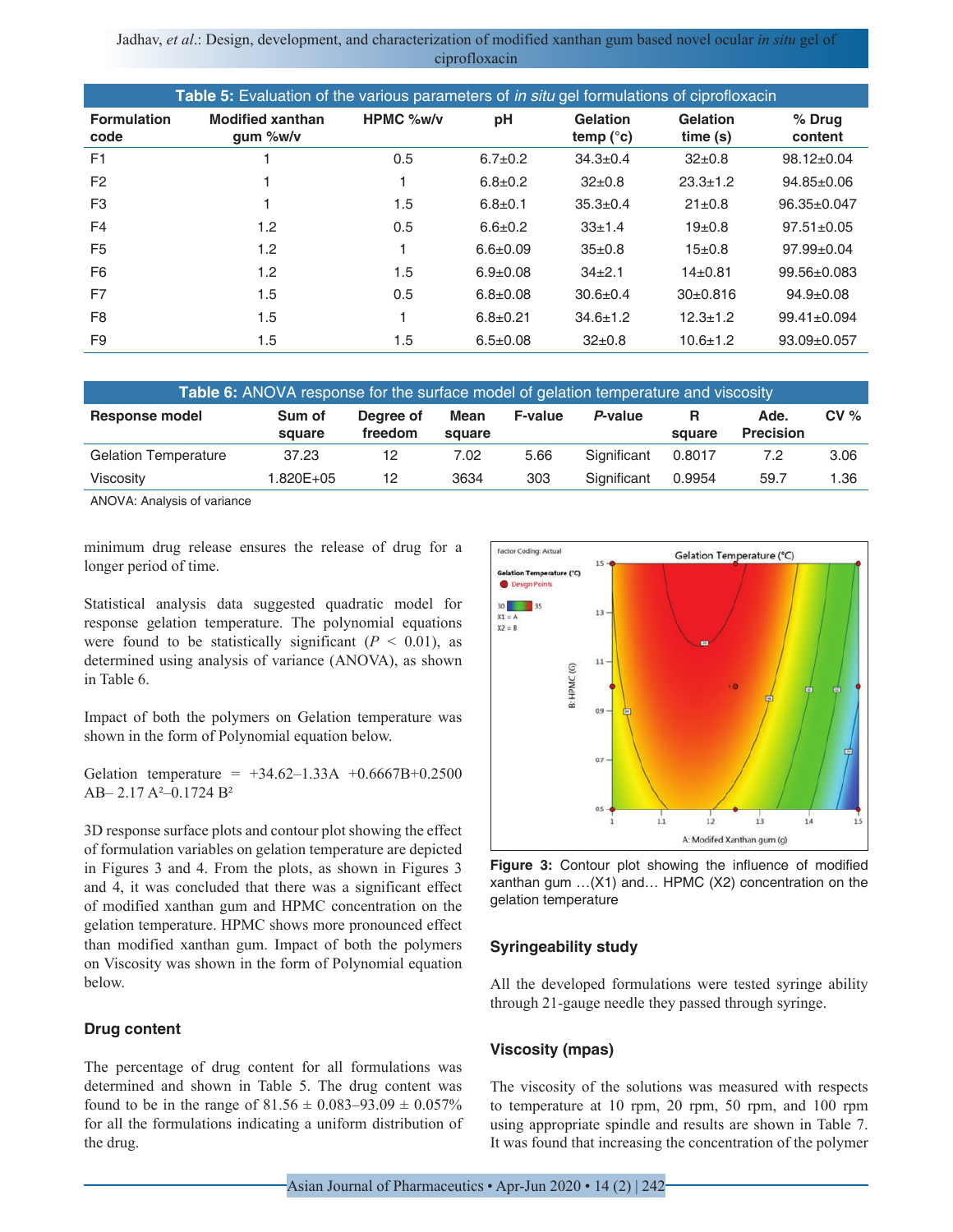| <b>Table 5:</b> Evaluation of the various parameters of <i>in situ</i> gel formulations of ciprofloxacin |                                        |                  |                |                                |                     |                   |
|----------------------------------------------------------------------------------------------------------|----------------------------------------|------------------|----------------|--------------------------------|---------------------|-------------------|
| <b>Formulation</b><br>code                                                                               | <b>Modified xanthan</b><br>$qum %$ w/v | <b>HPMC %w/v</b> | pH             | Gelation<br>temp $(^{\circ}c)$ | Gelation<br>time(s) | % Drug<br>content |
| F <sub>1</sub>                                                                                           |                                        | 0.5              | $6.7 \pm 0.2$  | $34.3 \pm 0.4$                 | $32 \pm 0.8$        | $98.12 \pm 0.04$  |
| F <sub>2</sub>                                                                                           |                                        |                  | $6.8 \pm 0.2$  | $32\pm0.8$                     | $23.3 \pm 1.2$      | $94.85 \pm 0.06$  |
| F <sub>3</sub>                                                                                           |                                        | 1.5              | $6.8 \pm 0.1$  | $35.3 \pm 0.4$                 | $21 \pm 0.8$        | 96.35±0.047       |
| F <sub>4</sub>                                                                                           | 1.2                                    | 0.5              | $6.6 \pm 0.2$  | $33 \pm 1.4$                   | 19 <sub>±</sub> 0.8 | $97.51 \pm 0.05$  |
| F <sub>5</sub>                                                                                           | 1.2                                    |                  | $6.6 \pm 0.09$ | $35 \pm 0.8$                   | $15 \pm 0.8$        | $97.99 \pm 0.04$  |
| F <sub>6</sub>                                                                                           | 1.2                                    | 1.5              | $6.9 \pm 0.08$ | $34+2.1$                       | $14+0.81$           | $99.56 \pm 0.083$ |
| F7                                                                                                       | 1.5                                    | 0.5              | $6.8 \pm 0.08$ | $30.6 + 0.4$                   | $30+0.816$          | $94.9 \pm 0.08$   |
| F <sub>8</sub>                                                                                           | 1.5                                    |                  | $6.8 + 0.21$   | $34.6 \pm 1.2$                 | $12.3 \pm 1.2$      | $99.41 \pm 0.094$ |
| F <sub>9</sub>                                                                                           | 1.5                                    | 1.5              | $6.5 \pm 0.08$ | $32+0.8$                       | $10.6 \pm 1.2$      | $93.09 \pm 0.057$ |

| <b>Table 6:</b> ANOVA response for the surface model of gelation temperature and viscosity |                  |                      |                |                |             |             |                          |         |
|--------------------------------------------------------------------------------------------|------------------|----------------------|----------------|----------------|-------------|-------------|--------------------------|---------|
| Response model                                                                             | Sum of<br>square | Dearee of<br>freedom | Mean<br>square | <b>F-value</b> | P-value     | R<br>square | Ade.<br><b>Precision</b> | $CV \%$ |
| <b>Gelation Temperature</b>                                                                | 37.23            | 12                   | 7.02           | 5.66           | Significant | 0.8017      | 7.2                      | 3.06    |
| Viscosity                                                                                  | 1.820E+05        | 12                   | 3634           | 303            | Significant | 0.9954      | 59.7                     | 1.36    |

ANOVA: Analysis of variance

minimum drug release ensures the release of drug for a longer period of time.

Statistical analysis data suggested quadratic model for response gelation temperature. The polynomial equations were found to be statistically significant  $(P < 0.01)$ , as determined using analysis of variance (ANOVA), as shown in Table 6.

Impact of both the polymers on Gelation temperature was shown in the form of Polynomial equation below.

Gelation temperature =  $+34.62-1.33A +0.6667B+0.2500$ AB– 2.17 A²–0.1724 B²

3D response surface plots and contour plot showing the effect of formulation variables on gelation temperature are depicted in Figures 3 and 4. From the plots, as shown in Figures 3 and 4, it was concluded that there was a significant effect of modified xanthan gum and HPMC concentration on the gelation temperature. HPMC shows more pronounced effect than modified xanthan gum. Impact of both the polymers on Viscosity was shown in the form of Polynomial equation below.

#### **Drug content**

The percentage of drug content for all formulations was determined and shown in Table 5. The drug content was found to be in the range of  $81.56 \pm 0.083 - 93.09 \pm 0.057\%$ for all the formulations indicating a uniform distribution of the drug.



**Figure 3:** Contour plot showing the influence of modified xanthan gum …(X1) and… HPMC (X2) concentration on the gelation temperature

#### **Syringeability study**

All the developed formulations were tested syringe ability through 21-gauge needle they passed through syringe.

#### **Viscosity (mpas)**

The viscosity of the solutions was measured with respects to temperature at 10 rpm, 20 rpm, 50 rpm, and 100 rpm using appropriate spindle and results are shown in Table 7. It was found that increasing the concentration of the polymer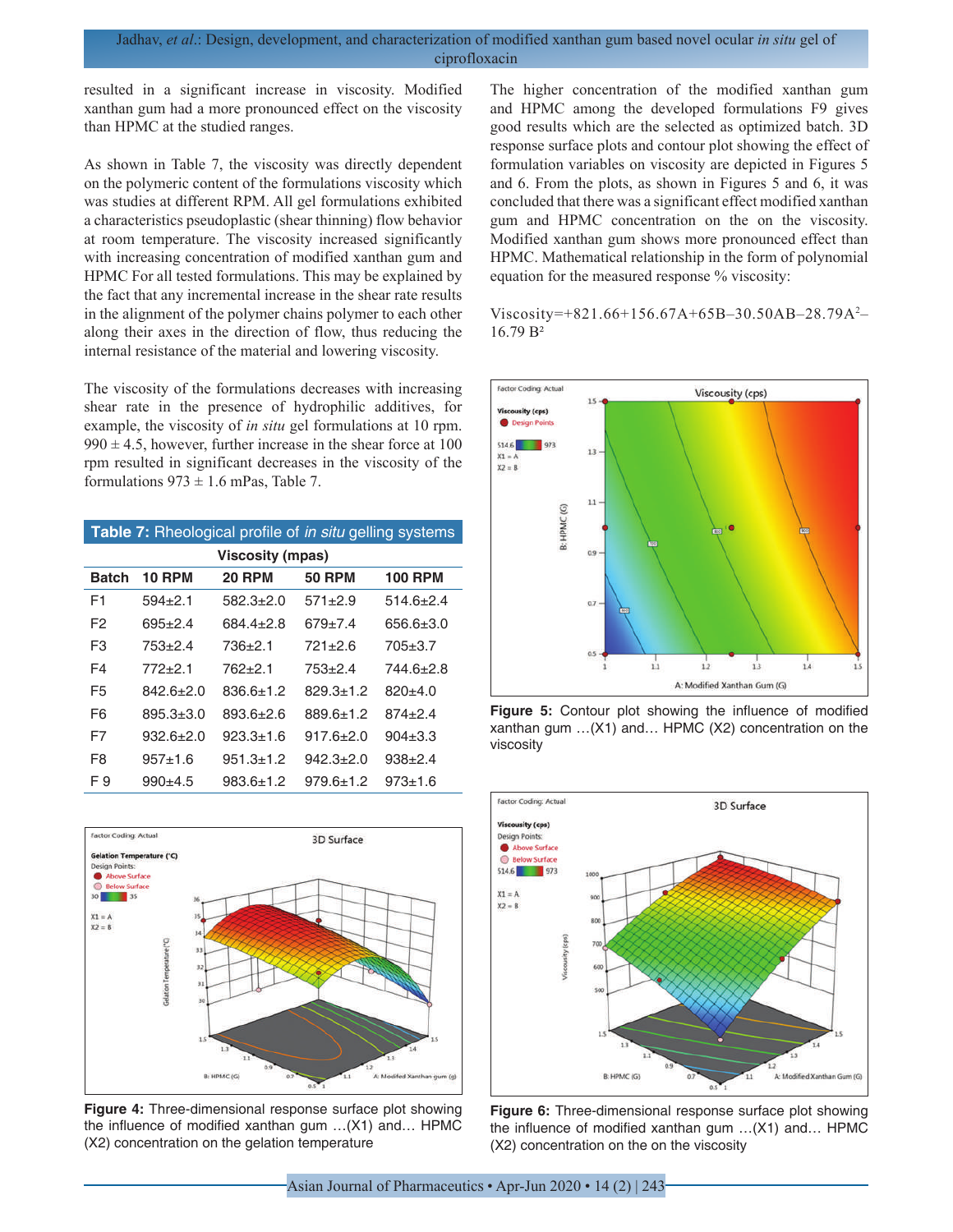resulted in a significant increase in viscosity. Modified xanthan gum had a more pronounced effect on the viscosity than HPMC at the studied ranges.

As shown in Table 7, the viscosity was directly dependent on the polymeric content of the formulations viscosity which was studies at different RPM. All gel formulations exhibited a characteristics pseudoplastic (shear thinning) flow behavior at room temperature. The viscosity increased significantly with increasing concentration of modified xanthan gum and HPMC For all tested formulations. This may be explained by the fact that any incremental increase in the shear rate results in the alignment of the polymer chains polymer to each other along their axes in the direction of flow, thus reducing the internal resistance of the material and lowering viscosity.

The viscosity of the formulations decreases with increasing shear rate in the presence of hydrophilic additives, for example, the viscosity of *in situ* gel formulations at 10 rpm.  $990 \pm 4.5$ , however, further increase in the shear force at 100 rpm resulted in significant decreases in the viscosity of the formulations  $973 \pm 1.6$  mPas, Table 7.

| Table 7: Rheological profile of <i>in situ</i> gelling systems |               |                  |               |                 |  |
|----------------------------------------------------------------|---------------|------------------|---------------|-----------------|--|
|                                                                |               | Viscosity (mpas) |               |                 |  |
| Batch                                                          | <b>10 RPM</b> | <b>20 RPM</b>    | <b>50 RPM</b> | <b>100 RPM</b>  |  |
| F1                                                             | $594 + 2.1$   | 582.3+2.0        | $571 + 2.9$   | $514.6 + 2.4$   |  |
| F2                                                             | $695 + 24$    | $684.4 + 2.8$    | $679 + 7.4$   | $656.6 \pm 3.0$ |  |
| F3                                                             | 753+2.4       | 736+2.1          | 721+2.6       | $705 \pm 3.7$   |  |
| F4                                                             | $772+2.1$     | 762+2.1          | 753+2.4       | 744.6+2.8       |  |
| F <sub>5</sub>                                                 | $842.6 + 2.0$ | 836.6+1.2        | 829.3+1.2     | $820+4.0$       |  |
| F6                                                             | $895.3 + 3.0$ | 893.6+2.6        | 889.6+1.2     | $874 + 2.4$     |  |
| F7                                                             | $932.6 + 2.0$ | $923.3 + 1.6$    | $917.6 + 2.0$ | $904 \pm 3.3$   |  |
| F8                                                             | $957+1.6$     | $951.3 + 1.2$    | $942.3 + 2.0$ | $938+2.4$       |  |
| F 9                                                            | $990+4.5$     | 983.6+1.2        | $979.6 + 1.2$ | $973 + 16$      |  |



**Figure 4:** Three-dimensional response surface plot showing the influence of modified xanthan gum …(X1) and… HPMC (X2) concentration on the gelation temperature

The higher concentration of the modified xanthan gum and HPMC among the developed formulations F9 gives good results which are the selected as optimized batch. 3D response surface plots and contour plot showing the effect of formulation variables on viscosity are depicted in Figures 5 and 6. From the plots, as shown in Figures 5 and 6, it was concluded that there was a significant effect modified xanthan gum and HPMC concentration on the on the viscosity. Modified xanthan gum shows more pronounced effect than HPMC. Mathematical relationship in the form of polynomial equation for the measured response % viscosity:

Viscosity=+821.66+156.67A+65B–30.50AB–28.79A<sup>2</sup> – 16.79 B²



**Figure 5:** Contour plot showing the influence of modified xanthan gum …(X1) and… HPMC (X2) concentration on the viscosity



**Figure 6:** Three-dimensional response surface plot showing the influence of modified xanthan gum …(X1) and… HPMC (X2) concentration on the on the viscosity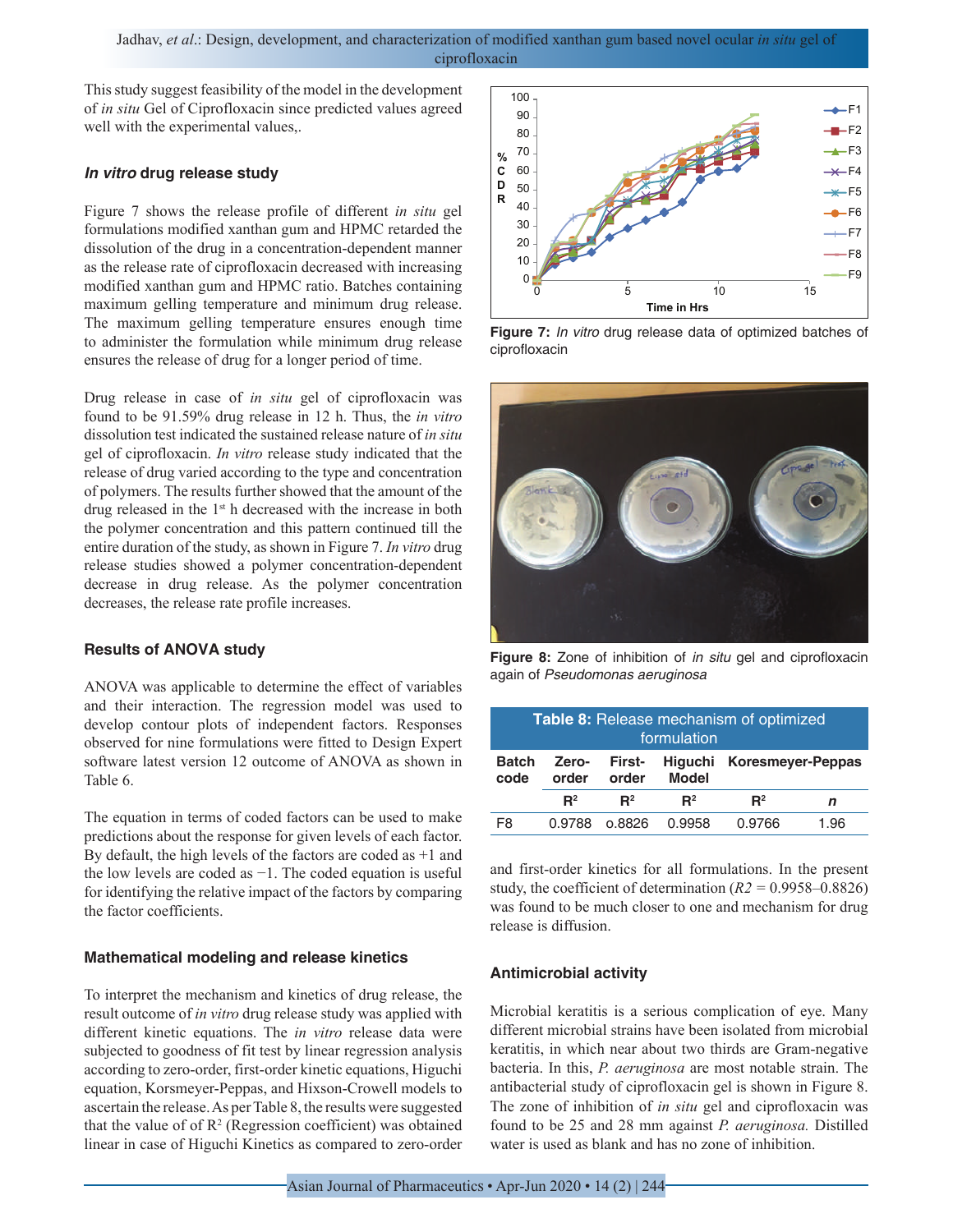This study suggest feasibility of the model in the development of *in situ* Gel of Ciprofloxacin since predicted values agreed well with the experimental values,.

#### *In vitro* **drug release study**

Figure 7 shows the release profile of different *in situ* gel formulations modified xanthan gum and HPMC retarded the dissolution of the drug in a concentration-dependent manner as the release rate of ciprofloxacin decreased with increasing modified xanthan gum and HPMC ratio. Batches containing maximum gelling temperature and minimum drug release. The maximum gelling temperature ensures enough time to administer the formulation while minimum drug release ensures the release of drug for a longer period of time.

Drug release in case of *in situ* gel of ciprofloxacin was found to be 91.59% drug release in 12 h. Thus, the *in vitro* dissolution test indicated the sustained release nature of *in situ* gel of ciprofloxacin. *In vitro* release study indicated that the release of drug varied according to the type and concentration of polymers. The results further showed that the amount of the drug released in the 1st h decreased with the increase in both the polymer concentration and this pattern continued till the entire duration of the study, as shown in Figure 7. *In vitro* drug release studies showed a polymer concentration-dependent decrease in drug release. As the polymer concentration decreases, the release rate profile increases.

#### **Results of ANOVA study**

ANOVA was applicable to determine the effect of variables and their interaction. The regression model was used to develop contour plots of independent factors. Responses observed for nine formulations were fitted to Design Expert software latest version 12 outcome of ANOVA as shown in Table 6.

The equation in terms of coded factors can be used to make predictions about the response for given levels of each factor. By default, the high levels of the factors are coded as +1 and the low levels are coded as −1. The coded equation is useful for identifying the relative impact of the factors by comparing the factor coefficients.

#### **Mathematical modeling and release kinetics**

To interpret the mechanism and kinetics of drug release, the result outcome of *in vitro* drug release study was applied with different kinetic equations. The *in vitro* release data were subjected to goodness of fit test by linear regression analysis according to zero-order, first-order kinetic equations, Higuchi equation, Korsmeyer-Peppas, and Hixson-Crowell models to ascertain the release. As per Table 8, the results were suggested that the value of of  $\mathbb{R}^2$  (Regression coefficient) was obtained linear in case of Higuchi Kinetics as compared to zero-order



**Figure 7:** *In vitro* drug release data of optimized batches of ciprofloxacin



**Figure 8:** Zone of inhibition of *in situ* gel and ciprofloxacin again of *Pseudomonas aeruginosa*

| Table 8: Release mechanism of optimized<br>formulation |                |                        |                |                           |      |  |  |
|--------------------------------------------------------|----------------|------------------------|----------------|---------------------------|------|--|--|
| <b>Batch</b><br>code                                   | Zero-<br>order | <b>First-</b><br>order | <b>Model</b>   | Higuchi Koresmeyer-Peppas |      |  |  |
|                                                        | $\mathbf{R}^2$ | $\mathbf{R}^2$         | $\mathbf{R}^2$ | $R^2$                     | n    |  |  |
| F8                                                     | 0.9788         | റ.8826                 | 0.9958         | 0.9766                    | 1.96 |  |  |

and first-order kinetics for all formulations. In the present study, the coefficient of determination (*R2 =* 0.9958–0.8826) was found to be much closer to one and mechanism for drug release is diffusion.

#### **Antimicrobial activity**

Microbial keratitis is a serious complication of eye. Many different microbial strains have been isolated from microbial keratitis, in which near about two thirds are Gram-negative bacteria. In this, *P. aeruginosa* are most notable strain. The antibacterial study of ciprofloxacin gel is shown in Figure 8. The zone of inhibition of *in situ* gel and ciprofloxacin was found to be 25 and 28 mm against *P. aeruginosa.* Distilled water is used as blank and has no zone of inhibition.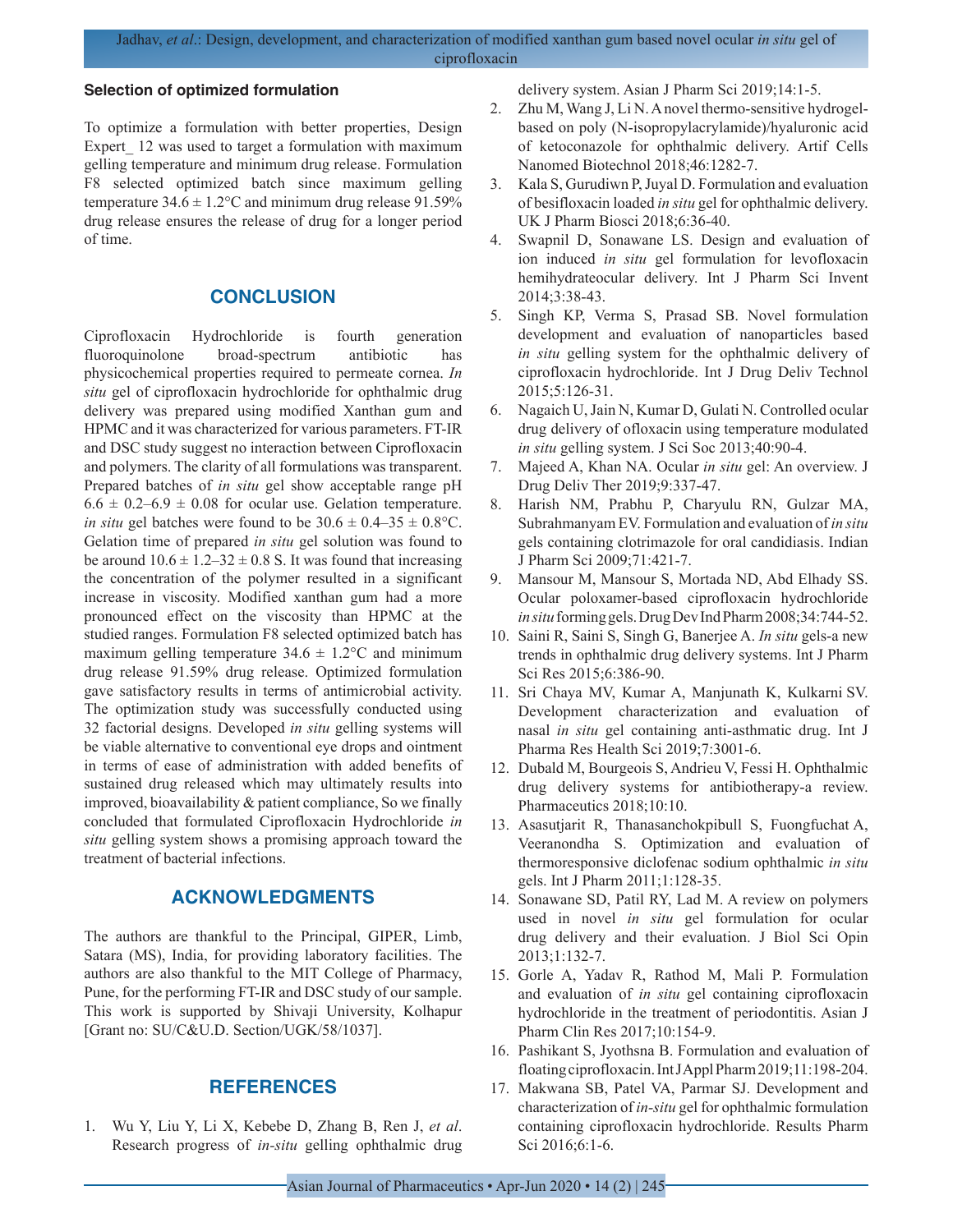#### **Selection of optimized formulation**

To optimize a formulation with better properties, Design Expert\_ 12 was used to target a formulation with maximum gelling temperature and minimum drug release. Formulation F8 selected optimized batch since maximum gelling temperature  $34.6 \pm 1.2$ °C and minimum drug release 91.59% drug release ensures the release of drug for a longer period of time.

## **CONCLUSION**

Ciprofloxacin Hydrochloride is fourth generation fluoroquinolone broad-spectrum antibiotic has physicochemical properties required to permeate cornea. *In situ* gel of ciprofloxacin hydrochloride for ophthalmic drug delivery was prepared using modified Xanthan gum and HPMC and it was characterized for various parameters. FT-IR and DSC study suggest no interaction between Ciprofloxacin and polymers. The clarity of all formulations was transparent. Prepared batches of *in situ* gel show acceptable range pH  $6.6 \pm 0.2 - 6.9 \pm 0.08$  for ocular use. Gelation temperature. *in situ* gel batches were found to be  $30.6 \pm 0.4 - 35 \pm 0.8$ °C. Gelation time of prepared *in situ* gel solution was found to be around  $10.6 \pm 1.2 - 32 \pm 0.8$  S. It was found that increasing the concentration of the polymer resulted in a significant increase in viscosity. Modified xanthan gum had a more pronounced effect on the viscosity than HPMC at the studied ranges. Formulation F8 selected optimized batch has maximum gelling temperature  $34.6 \pm 1.2$ °C and minimum drug release 91.59% drug release. Optimized formulation gave satisfactory results in terms of antimicrobial activity. The optimization study was successfully conducted using 32 factorial designs. Developed *in situ* gelling systems will be viable alternative to conventional eye drops and ointment in terms of ease of administration with added benefits of sustained drug released which may ultimately results into improved, bioavailability & patient compliance, So we finally concluded that formulated Ciprofloxacin Hydrochloride *in situ* gelling system shows a promising approach toward the treatment of bacterial infections.

# **ACKNOWLEDGMENTS**

The authors are thankful to the Principal, GIPER, Limb, Satara (MS), India, for providing laboratory facilities. The authors are also thankful to the MIT College of Pharmacy, Pune, for the performing FT-IR and DSC study of our sample. This work is supported by Shivaji University, Kolhapur [Grant no: SU/C&U.D. Section/UGK/58/1037].

## **REFERENCES**

1. Wu Y, Liu Y, Li X, Kebebe D, Zhang B, Ren J, *et al*. Research progress of *in-situ* gelling ophthalmic drug delivery system. Asian J Pharm Sci 2019;14:1-5.

- 2. Zhu M, Wang J, Li N. A novel thermo-sensitive hydrogelbased on poly (N-isopropylacrylamide)/hyaluronic acid of ketoconazole for ophthalmic delivery. Artif Cells Nanomed Biotechnol 2018;46:1282-7.
- 3. Kala S, Gurudiwn P, Juyal D. Formulation and evaluation of besifloxacin loaded *in situ* gel for ophthalmic delivery. UK J Pharm Biosci 2018;6:36-40.
- 4. Swapnil D, Sonawane LS. Design and evaluation of ion induced *in situ* gel formulation for levofloxacin hemihydrateocular delivery. Int J Pharm Sci Invent 2014;3:38-43.
- 5. Singh KP, Verma S, Prasad SB. Novel formulation development and evaluation of nanoparticles based *in situ* gelling system for the ophthalmic delivery of ciprofloxacin hydrochloride. Int J Drug Deliv Technol 2015;5:126-31.
- 6. Nagaich U, Jain N, Kumar D, Gulati N. Controlled ocular drug delivery of ofloxacin using temperature modulated *in situ* gelling system. J Sci Soc 2013;40:90-4.
- 7. Majeed A, Khan NA. Ocular *in situ* gel: An overview. J Drug Deliv Ther 2019;9:337-47.
- 8. Harish NM, Prabhu P, Charyulu RN, Gulzar MA, Subrahmanyam EV. Formulation and evaluation of *in situ* gels containing clotrimazole for oral candidiasis. Indian J Pharm Sci 2009;71:421-7.
- 9. Mansour M, Mansour S, Mortada ND, Abd Elhady SS. Ocular poloxamer-based ciprofloxacin hydrochloride *in situ* forming gels. Drug Dev Ind Pharm 2008;34:744-52.
- 10. Saini R, Saini S, Singh G, Banerjee A. *In situ* gels-a new trends in ophthalmic drug delivery systems. Int J Pharm Sci Res 2015;6:386-90.
- 11. Sri Chaya MV, Kumar A, Manjunath K, Kulkarni SV. Development characterization and evaluation of nasal *in situ* gel containing anti-asthmatic drug. Int J Pharma Res Health Sci 2019;7:3001-6.
- 12. Dubald M, Bourgeois S, Andrieu V, Fessi H. Ophthalmic drug delivery systems for antibiotherapy-a review. Pharmaceutics 2018;10:10.
- 13. Asasutjarit R, Thanasanchokpibull S, Fuongfuchat A, Veeranondha S. Optimization and evaluation of thermoresponsive diclofenac sodium ophthalmic *in situ* gels. Int J Pharm 2011;1:128-35.
- 14. Sonawane SD, Patil RY, Lad M. A review on polymers used in novel *in situ* gel formulation for ocular drug delivery and their evaluation. J Biol Sci Opin 2013;1:132-7.
- 15. Gorle A, Yadav R, Rathod M, Mali P. Formulation and evaluation of *in situ* gel containing ciprofloxacin hydrochloride in the treatment of periodontitis. Asian J Pharm Clin Res 2017;10:154-9.
- 16. Pashikant S, Jyothsna B. Formulation and evaluation of floating ciprofloxacin. Int J Appl Pharm 2019;11:198-204.
- 17. Makwana SB, Patel VA, Parmar SJ. Development and characterization of *in-situ* gel for ophthalmic formulation containing ciprofloxacin hydrochloride. Results Pharm Sci 2016;6:1-6.